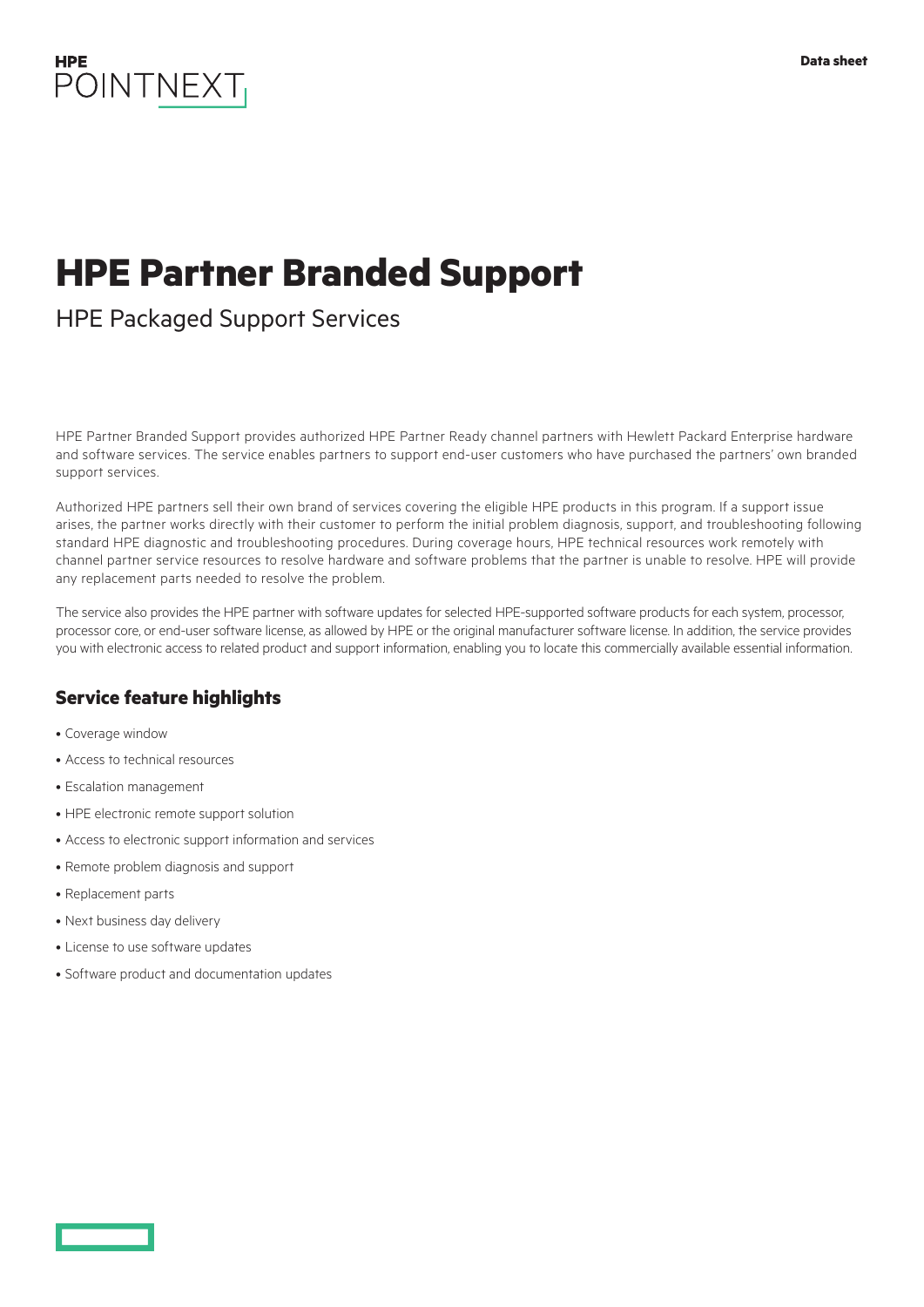

# **HPE Partner Branded Support**

## HPE Packaged Support Services

HPE Partner Branded Support provides authorized HPE Partner Ready channel partners with Hewlett Packard Enterprise hardware and software services. The service enables partners to support end-user customers who have purchased the partners' own branded support services.

Authorized HPE partners sell their own brand of services covering the eligible HPE products in this program. If a support issue arises, the partner works directly with their customer to perform the initial problem diagnosis, support, and troubleshooting following standard HPE diagnostic and troubleshooting procedures. During coverage hours, HPE technical resources work remotely with channel partner service resources to resolve hardware and software problems that the partner is unable to resolve. HPE will provide any replacement parts needed to resolve the problem.

The service also provides the HPE partner with software updates for selected HPE-supported software products for each system, processor, processor core, or end-user software license, as allowed by HPE or the original manufacturer software license. In addition, the service provides you with electronic access to related product and support information, enabling you to locate this commercially available essential information.

## **Service feature highlights**

- Coverage window
- Access to technical resources
- Escalation management
- HPE electronic remote support solution
- Access to electronic support information and services
- Remote problem diagnosis and support
- Replacement parts
- Next business day delivery
- License to use software updates
- Software product and documentation updates

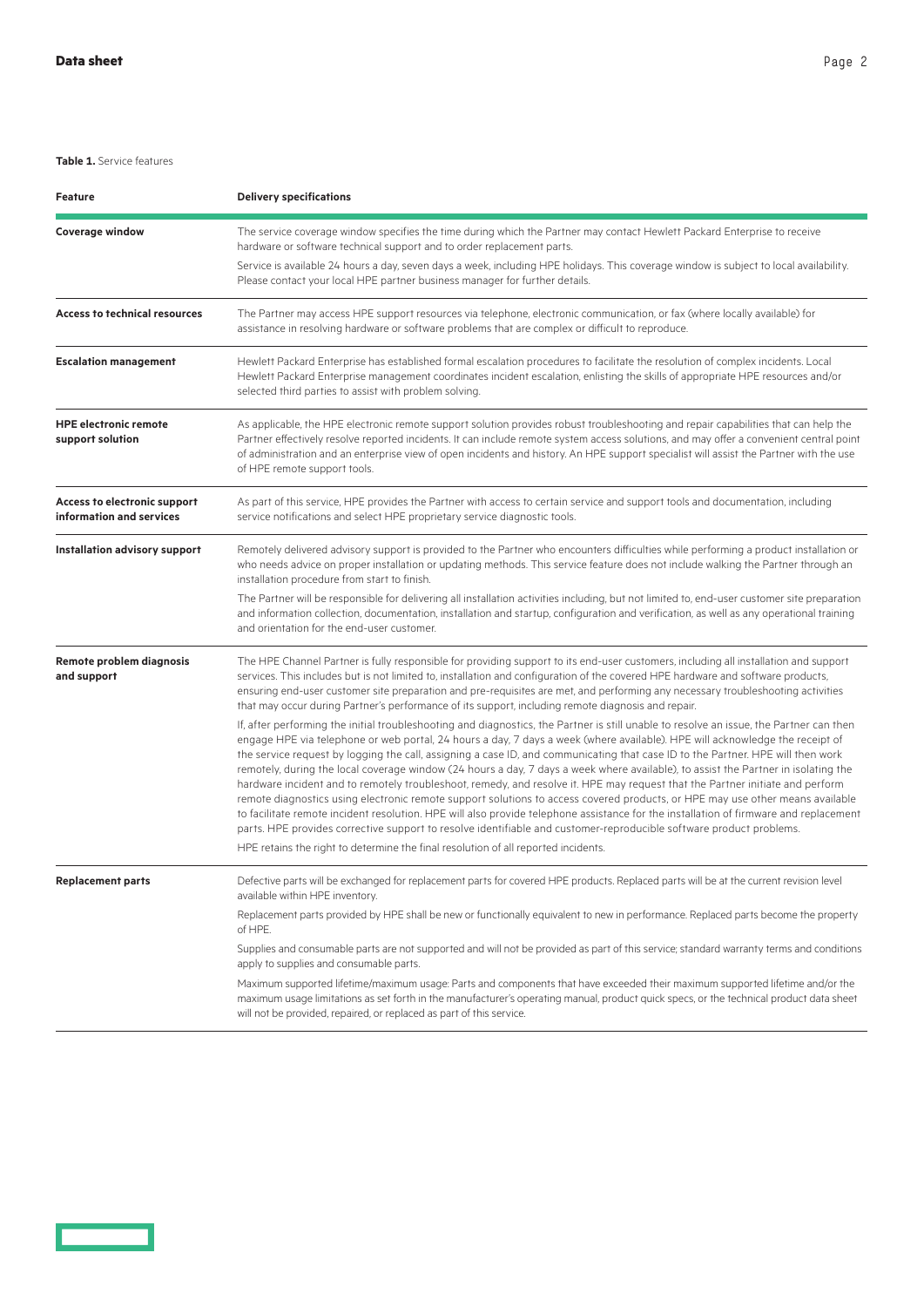#### **Table 1.** Service features

| Feature                                                  | <b>Delivery specifications</b>                                                                                                                                                                                                                                                                                                                                                                                                                                                                                                                                                                                                                                                                                                                                                                                                                                                                                                                                                                                                                                                     |
|----------------------------------------------------------|------------------------------------------------------------------------------------------------------------------------------------------------------------------------------------------------------------------------------------------------------------------------------------------------------------------------------------------------------------------------------------------------------------------------------------------------------------------------------------------------------------------------------------------------------------------------------------------------------------------------------------------------------------------------------------------------------------------------------------------------------------------------------------------------------------------------------------------------------------------------------------------------------------------------------------------------------------------------------------------------------------------------------------------------------------------------------------|
| Coverage window                                          | The service coverage window specifies the time during which the Partner may contact Hewlett Packard Enterprise to receive<br>hardware or software technical support and to order replacement parts.<br>Service is available 24 hours a day, seven days a week, including HPE holidays. This coverage window is subject to local availability.<br>Please contact your local HPE partner business manager for further details.                                                                                                                                                                                                                                                                                                                                                                                                                                                                                                                                                                                                                                                       |
| <b>Access to technical resources</b>                     | The Partner may access HPE support resources via telephone, electronic communication, or fax (where locally available) for<br>assistance in resolving hardware or software problems that are complex or difficult to reproduce.                                                                                                                                                                                                                                                                                                                                                                                                                                                                                                                                                                                                                                                                                                                                                                                                                                                    |
| <b>Escalation management</b>                             | Hewlett Packard Enterprise has established formal escalation procedures to facilitate the resolution of complex incidents. Local<br>Hewlett Packard Enterprise management coordinates incident escalation, enlisting the skills of appropriate HPE resources and/or<br>selected third parties to assist with problem solving.                                                                                                                                                                                                                                                                                                                                                                                                                                                                                                                                                                                                                                                                                                                                                      |
| <b>HPE electronic remote</b><br>support solution         | As applicable, the HPE electronic remote support solution provides robust troubleshooting and repair capabilities that can help the<br>Partner effectively resolve reported incidents. It can include remote system access solutions, and may offer a convenient central point<br>of administration and an enterprise view of open incidents and history. An HPE support specialist will assist the Partner with the use<br>of HPE remote support tools.                                                                                                                                                                                                                                                                                                                                                                                                                                                                                                                                                                                                                           |
| Access to electronic support<br>information and services | As part of this service, HPE provides the Partner with access to certain service and support tools and documentation, including<br>service notifications and select HPE proprietary service diagnostic tools.                                                                                                                                                                                                                                                                                                                                                                                                                                                                                                                                                                                                                                                                                                                                                                                                                                                                      |
| Installation advisory support                            | Remotely delivered advisory support is provided to the Partner who encounters difficulties while performing a product installation or<br>who needs advice on proper installation or updating methods. This service feature does not include walking the Partner through an<br>installation procedure from start to finish.                                                                                                                                                                                                                                                                                                                                                                                                                                                                                                                                                                                                                                                                                                                                                         |
|                                                          | The Partner will be responsible for delivering all installation activities including, but not limited to, end-user customer site preparation<br>and information collection, documentation, installation and startup, configuration and verification, as well as any operational training<br>and orientation for the end-user customer.                                                                                                                                                                                                                                                                                                                                                                                                                                                                                                                                                                                                                                                                                                                                             |
| Remote problem diagnosis<br>and support                  | The HPE Channel Partner is fully responsible for providing support to its end-user customers, including all installation and support<br>services. This includes but is not limited to, installation and configuration of the covered HPE hardware and software products,<br>ensuring end-user customer site preparation and pre-requisites are met, and performing any necessary troubleshooting activities<br>that may occur during Partner's performance of its support, including remote diagnosis and repair.                                                                                                                                                                                                                                                                                                                                                                                                                                                                                                                                                                  |
|                                                          | If, after performing the initial troubleshooting and diagnostics, the Partner is still unable to resolve an issue, the Partner can then<br>engage HPE via telephone or web portal, 24 hours a day, 7 days a week (where available). HPE will acknowledge the receipt of<br>the service request by logging the call, assigning a case ID, and communicating that case ID to the Partner. HPE will then work<br>remotely, during the local coverage window (24 hours a day, 7 days a week where available), to assist the Partner in isolating the<br>hardware incident and to remotely troubleshoot, remedy, and resolve it. HPE may request that the Partner initiate and perform<br>remote diagnostics using electronic remote support solutions to access covered products, or HPE may use other means available<br>to facilitate remote incident resolution. HPE will also provide telephone assistance for the installation of firmware and replacement<br>parts. HPE provides corrective support to resolve identifiable and customer-reproducible software product problems. |
|                                                          | HPE retains the right to determine the final resolution of all reported incidents.                                                                                                                                                                                                                                                                                                                                                                                                                                                                                                                                                                                                                                                                                                                                                                                                                                                                                                                                                                                                 |
| Replacement parts                                        | Defective parts will be exchanged for replacement parts for covered HPE products. Replaced parts will be at the current revision level<br>available within HPE inventory.                                                                                                                                                                                                                                                                                                                                                                                                                                                                                                                                                                                                                                                                                                                                                                                                                                                                                                          |
|                                                          | Replacement parts provided by HPE shall be new or functionally equivalent to new in performance. Replaced parts become the property<br>of HPE.                                                                                                                                                                                                                                                                                                                                                                                                                                                                                                                                                                                                                                                                                                                                                                                                                                                                                                                                     |
|                                                          | Supplies and consumable parts are not supported and will not be provided as part of this service; standard warranty terms and conditions<br>apply to supplies and consumable parts.                                                                                                                                                                                                                                                                                                                                                                                                                                                                                                                                                                                                                                                                                                                                                                                                                                                                                                |
|                                                          | Maximum supported lifetime/maximum usage: Parts and components that have exceeded their maximum supported lifetime and/or the<br>maximum usage limitations as set forth in the manufacturer's operating manual, product quick specs, or the technical product data sheet<br>will not be provided, repaired, or replaced as part of this service.                                                                                                                                                                                                                                                                                                                                                                                                                                                                                                                                                                                                                                                                                                                                   |



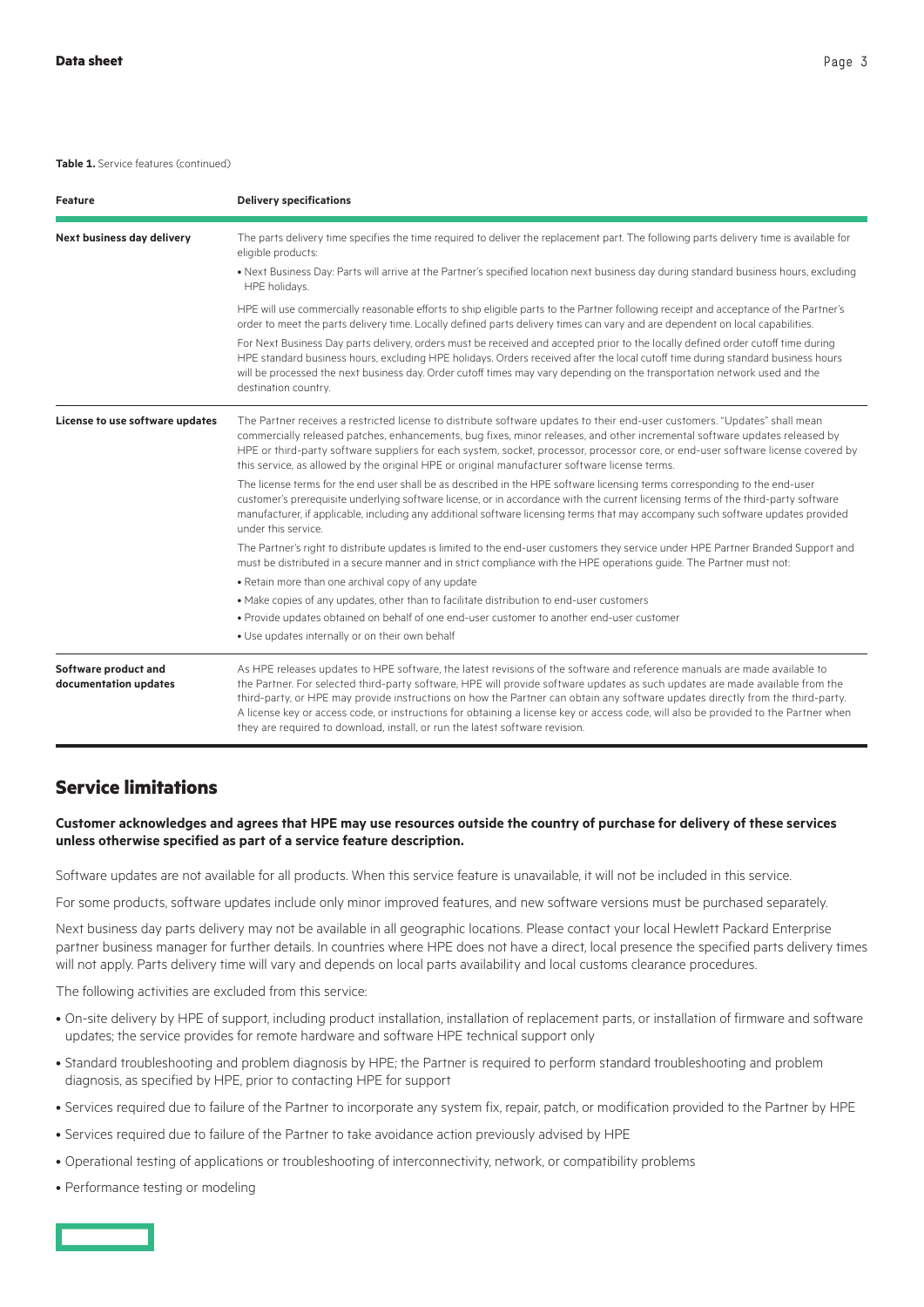#### **Table 1.** Service features (continued)

| <b>Feature</b>                                | <b>Delivery specifications</b>                                                                                                                                                                                                                                                                                                                                                                                                                                                                                                                                                                                      |
|-----------------------------------------------|---------------------------------------------------------------------------------------------------------------------------------------------------------------------------------------------------------------------------------------------------------------------------------------------------------------------------------------------------------------------------------------------------------------------------------------------------------------------------------------------------------------------------------------------------------------------------------------------------------------------|
| Next business day delivery                    | The parts delivery time specifies the time required to deliver the replacement part. The following parts delivery time is available for<br>eligible products:                                                                                                                                                                                                                                                                                                                                                                                                                                                       |
|                                               | . Next Business Day: Parts will arrive at the Partner's specified location next business day during standard business hours, excluding<br>HPE holidays.                                                                                                                                                                                                                                                                                                                                                                                                                                                             |
|                                               | HPE will use commercially reasonable efforts to ship eligible parts to the Partner following receipt and acceptance of the Partner's<br>order to meet the parts delivery time. Locally defined parts delivery times can vary and are dependent on local capabilities.                                                                                                                                                                                                                                                                                                                                               |
|                                               | For Next Business Day parts delivery, orders must be received and accepted prior to the locally defined order cutoff time during<br>HPE standard business hours, excluding HPE holidays. Orders received after the local cutoff time during standard business hours<br>will be processed the next business day. Order cutoff times may vary depending on the transportation network used and the<br>destination country.                                                                                                                                                                                            |
| License to use software updates               | The Partner receives a restricted license to distribute software updates to their end-user customers. "Updates" shall mean<br>commercially released patches, enhancements, bug fixes, minor releases, and other incremental software updates released by<br>HPE or third-party software suppliers for each system, socket, processor, processor core, or end-user software license covered by<br>this service, as allowed by the original HPE or original manufacturer software license terms.                                                                                                                      |
|                                               | The license terms for the end user shall be as described in the HPE software licensing terms corresponding to the end-user<br>customer's prerequisite underlying software license, or in accordance with the current licensing terms of the third-party software<br>manufacturer, if applicable, including any additional software licensing terms that may accompany such software updates provided<br>under this service.                                                                                                                                                                                         |
|                                               | The Partner's right to distribute updates is limited to the end-user customers they service under HPE Partner Branded Support and<br>must be distributed in a secure manner and in strict compliance with the HPE operations guide. The Partner must not:                                                                                                                                                                                                                                                                                                                                                           |
|                                               | . Retain more than one archival copy of any update                                                                                                                                                                                                                                                                                                                                                                                                                                                                                                                                                                  |
|                                               | • Make copies of any updates, other than to facilitate distribution to end-user customers                                                                                                                                                                                                                                                                                                                                                                                                                                                                                                                           |
|                                               | . Provide updates obtained on behalf of one end-user customer to another end-user customer                                                                                                                                                                                                                                                                                                                                                                                                                                                                                                                          |
|                                               | . Use updates internally or on their own behalf                                                                                                                                                                                                                                                                                                                                                                                                                                                                                                                                                                     |
| Software product and<br>documentation updates | As HPE releases updates to HPE software, the latest revisions of the software and reference manuals are made available to<br>the Partner. For selected third-party software, HPE will provide software updates as such updates are made available from the<br>third-party, or HPE may provide instructions on how the Partner can obtain any software updates directly from the third-party.<br>A license key or access code, or instructions for obtaining a license key or access code, will also be provided to the Partner when<br>they are required to download, install, or run the latest software revision. |

#### **Service limitations**

#### **Customer acknowledges and agrees that HPE may use resources outside the country of purchase for delivery of these services unless otherwise specified as part of a service feature description.**

Software updates are not available for all products. When this service feature is unavailable, it will not be included in this service.

For some products, software updates include only minor improved features, and new software versions must be purchased separately.

Next business day parts delivery may not be available in all geographic locations. Please contact your local Hewlett Packard Enterprise partner business manager for further details. In countries where HPE does not have a direct, local presence the specified parts delivery times will not apply. Parts delivery time will vary and depends on local parts availability and local customs clearance procedures.

The following activities are excluded from this service:

- On-site delivery by HPE of support, including product installation, installation of replacement parts, or installation of firmware and software updates; the service provides for remote hardware and software HPE technical support only
- Standard troubleshooting and problem diagnosis by HPE; the Partner is required to perform standard troubleshooting and problem diagnosis, as specified by HPE, prior to contacting HPE for support
- Services required due to failure of the Partner to incorporate any system fix, repair, patch, or modification provided to the Partner by HPE
- Services required due to failure of the Partner to take avoidance action previously advised by HPE
- Operational testing of applications or troubleshooting of interconnectivity, network, or compatibility problems
- Performance testing or modeling

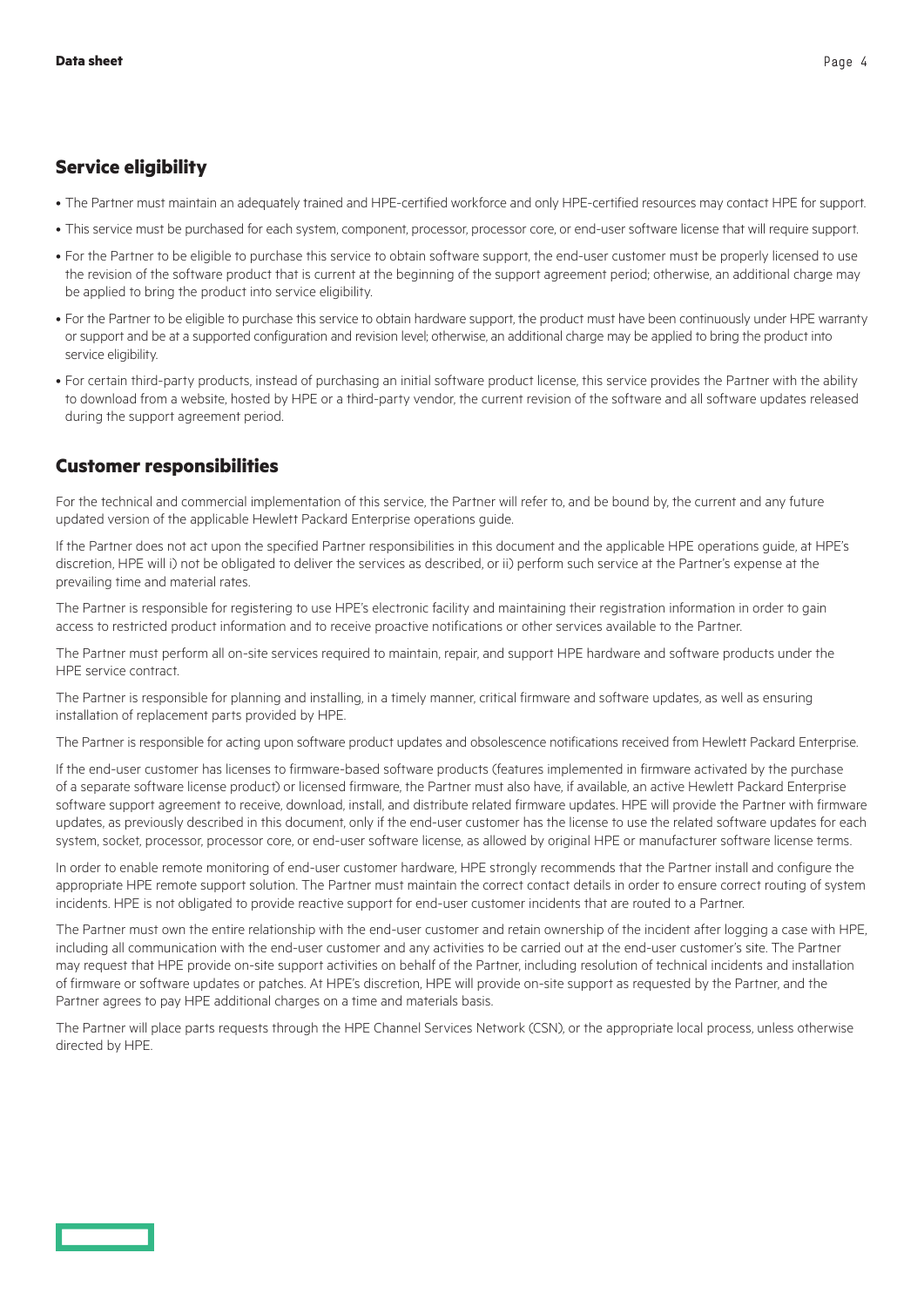#### **Service eligibility**

- The Partner must maintain an adequately trained and HPE-certified workforce and only HPE-certified resources may contact HPE for support.
- This service must be purchased for each system, component, processor, processor core, or end-user software license that will require support.
- For the Partner to be eligible to purchase this service to obtain software support, the end-user customer must be properly licensed to use the revision of the software product that is current at the beginning of the support agreement period; otherwise, an additional charge may be applied to bring the product into service eligibility.
- For the Partner to be eligible to purchase this service to obtain hardware support, the product must have been continuously under HPE warranty or support and be at a supported configuration and revision level; otherwise, an additional charge may be applied to bring the product into service eligibility.
- For certain third-party products, instead of purchasing an initial software product license, this service provides the Partner with the ability to download from a website, hosted by HPE or a third-party vendor, the current revision of the software and all software updates released during the support agreement period.

### **Customer responsibilities**

For the technical and commercial implementation of this service, the Partner will refer to, and be bound by, the current and any future updated version of the applicable Hewlett Packard Enterprise operations guide.

If the Partner does not act upon the specified Partner responsibilities in this document and the applicable HPE operations guide, at HPE's discretion, HPE will i) not be obligated to deliver the services as described, or ii) perform such service at the Partner's expense at the prevailing time and material rates.

The Partner is responsible for registering to use HPE's electronic facility and maintaining their registration information in order to gain access to restricted product information and to receive proactive notifications or other services available to the Partner.

The Partner must perform all on-site services required to maintain, repair, and support HPE hardware and software products under the HPE service contract.

The Partner is responsible for planning and installing, in a timely manner, critical firmware and software updates, as well as ensuring installation of replacement parts provided by HPE.

The Partner is responsible for acting upon software product updates and obsolescence notifications received from Hewlett Packard Enterprise.

If the end-user customer has licenses to firmware-based software products (features implemented in firmware activated by the purchase of a separate software license product) or licensed firmware, the Partner must also have, if available, an active Hewlett Packard Enterprise software support agreement to receive, download, install, and distribute related firmware updates. HPE will provide the Partner with firmware updates, as previously described in this document, only if the end-user customer has the license to use the related software updates for each system, socket, processor, processor core, or end-user software license, as allowed by original HPE or manufacturer software license terms.

In order to enable remote monitoring of end-user customer hardware, HPE strongly recommends that the Partner install and configure the appropriate HPE remote support solution. The Partner must maintain the correct contact details in order to ensure correct routing of system incidents. HPE is not obligated to provide reactive support for end-user customer incidents that are routed to a Partner.

The Partner must own the entire relationship with the end-user customer and retain ownership of the incident after logging a case with HPE, including all communication with the end-user customer and any activities to be carried out at the end-user customer's site. The Partner may request that HPE provide on-site support activities on behalf of the Partner, including resolution of technical incidents and installation of firmware or software updates or patches. At HPE's discretion, HPE will provide on-site support as requested by the Partner, and the Partner agrees to pay HPE additional charges on a time and materials basis.

The Partner will place parts requests through the HPE Channel Services Network (CSN), or the appropriate local process, unless otherwise directed by HPE.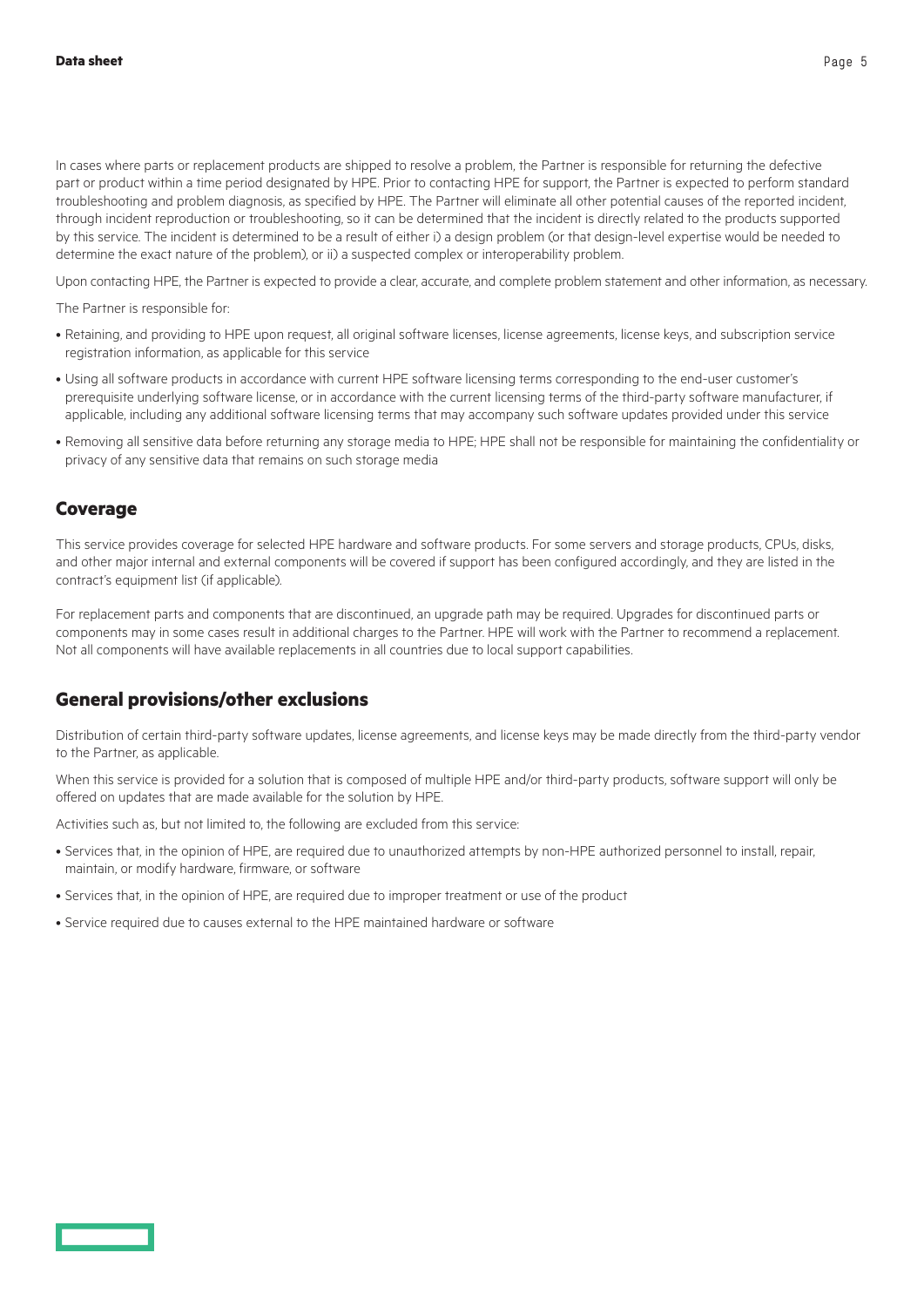In cases where parts or replacement products are shipped to resolve a problem, the Partner is responsible for returning the defective part or product within a time period designated by HPE. Prior to contacting HPE for support, the Partner is expected to perform standard troubleshooting and problem diagnosis, as specified by HPE. The Partner will eliminate all other potential causes of the reported incident, through incident reproduction or troubleshooting, so it can be determined that the incident is directly related to the products supported by this service. The incident is determined to be a result of either i) a design problem (or that design-level expertise would be needed to determine the exact nature of the problem), or ii) a suspected complex or interoperability problem.

Upon contacting HPE, the Partner is expected to provide a clear, accurate, and complete problem statement and other information, as necessary.

The Partner is responsible for:

- Retaining, and providing to HPE upon request, all original software licenses, license agreements, license keys, and subscription service registration information, as applicable for this service
- Using all software products in accordance with current HPE software licensing terms corresponding to the end-user customer's prerequisite underlying software license, or in accordance with the current licensing terms of the third-party software manufacturer, if applicable, including any additional software licensing terms that may accompany such software updates provided under this service
- Removing all sensitive data before returning any storage media to HPE; HPE shall not be responsible for maintaining the confidentiality or privacy of any sensitive data that remains on such storage media

#### **Coverage**

This service provides coverage for selected HPE hardware and software products. For some servers and storage products, CPUs, disks, and other major internal and external components will be covered if support has been configured accordingly, and they are listed in the contract's equipment list (if applicable).

For replacement parts and components that are discontinued, an upgrade path may be required. Upgrades for discontinued parts or components may in some cases result in additional charges to the Partner. HPE will work with the Partner to recommend a replacement. Not all components will have available replacements in all countries due to local support capabilities.

#### **General provisions/other exclusions**

Distribution of certain third-party software updates, license agreements, and license keys may be made directly from the third-party vendor to the Partner, as applicable.

When this service is provided for a solution that is composed of multiple HPE and/or third-party products, software support will only be offered on updates that are made available for the solution by HPE.

Activities such as, but not limited to, the following are excluded from this service:

- Services that, in the opinion of HPE, are required due to unauthorized attempts by non-HPE authorized personnel to install, repair, maintain, or modify hardware, firmware, or software
- Services that, in the opinion of HPE, are required due to improper treatment or use of the product
- Service required due to causes external to the HPE maintained hardware or software